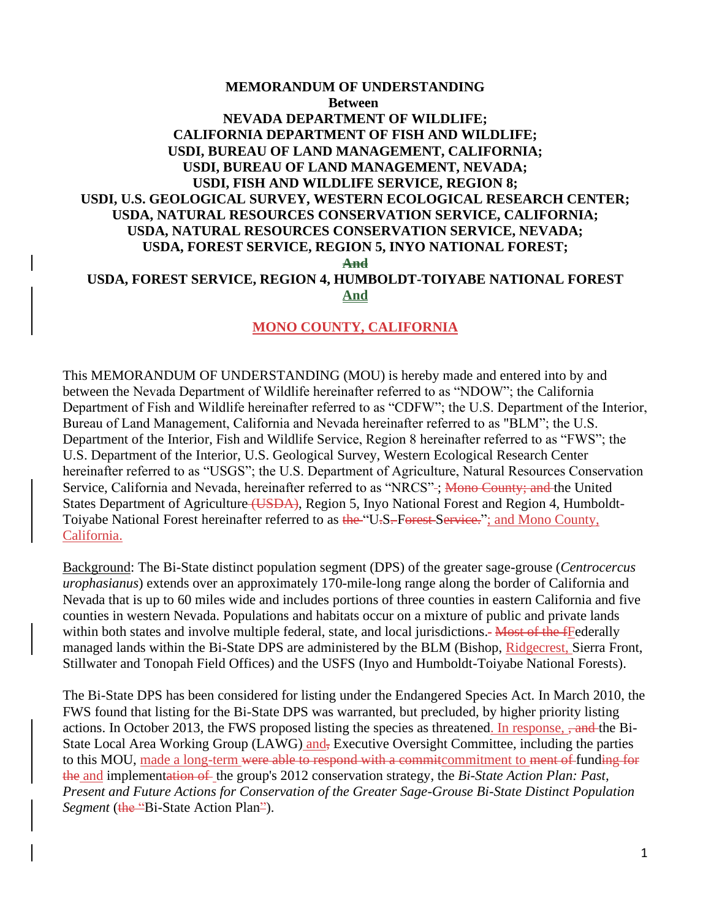# **MEMORANDUM OF UNDERSTANDING Between NEVADA DEPARTMENT OF WILDLIFE; CALIFORNIA DEPARTMENT OF FISH AND WILDLIFE; USDI, BUREAU OF LAND MANAGEMENT, CALIFORNIA; USDI, BUREAU OF LAND MANAGEMENT, NEVADA; USDI, FISH AND WILDLIFE SERVICE, REGION 8; USDI, U.S. GEOLOGICAL SURVEY, WESTERN ECOLOGICAL RESEARCH CENTER; USDA, NATURAL RESOURCES CONSERVATION SERVICE, CALIFORNIA; USDA, NATURAL RESOURCES CONSERVATION SERVICE, NEVADA; USDA, FOREST SERVICE, REGION 5, INYO NATIONAL FOREST; And USDA, FOREST SERVICE, REGION 4, HUMBOLDT-TOIYABE NATIONAL FOREST And**

### **MONO COUNTY, CALIFORNIA**

This MEMORANDUM OF UNDERSTANDING (MOU) is hereby made and entered into by and between the Nevada Department of Wildlife hereinafter referred to as "NDOW"; the California Department of Fish and Wildlife hereinafter referred to as "CDFW"; the U.S. Department of the Interior, Bureau of Land Management, California and Nevada hereinafter referred to as "BLM"; the U.S. Department of the Interior, Fish and Wildlife Service, Region 8 hereinafter referred to as "FWS"; the U.S. Department of the Interior, U.S. Geological Survey, Western Ecological Research Center hereinafter referred to as "USGS"; the U.S. Department of Agriculture, Natural Resources Conservation Service, California and Nevada, hereinafter referred to as "NRCS"-; Mono County; and the United States Department of Agriculture (USDA), Region 5, Inyo National Forest and Region 4, Humboldt-Toiyabe National Forest hereinafter referred to as the "U.S. Forest Service."; and Mono County, California.

Background: The Bi-State distinct population segment (DPS) of the greater sage-grouse (*Centrocercus urophasianus*) extends over an approximately 170-mile-long range along the border of California and Nevada that is up to 60 miles wide and includes portions of three counties in eastern California and five counties in western Nevada. Populations and habitats occur on a mixture of public and private lands within both states and involve multiple federal, state, and local jurisdictions.- Most of the fFederally managed lands within the Bi-State DPS are administered by the BLM (Bishop, Ridgecrest, Sierra Front, Stillwater and Tonopah Field Offices) and the USFS (Inyo and Humboldt-Toiyabe National Forests).

The Bi-State DPS has been considered for listing under the Endangered Species Act. In March 2010, the FWS found that listing for the Bi-State DPS was warranted, but precluded, by higher priority listing actions. In October 2013, the FWS proposed listing the species as threatened. In response,  $\frac{1}{2}$  and the Bi-State Local Area Working Group (LAWG) and, Executive Oversight Committee, including the parties to this MOU, made a long-term were able to respond with a commit commitment to ment of funding for the and implementation of the group's 2012 conservation strategy, the *Bi-State Action Plan: Past, Present and Future Actions for Conservation of the Greater Sage-Grouse Bi-State Distinct Population Segment* (the "Bi-State Action Plan").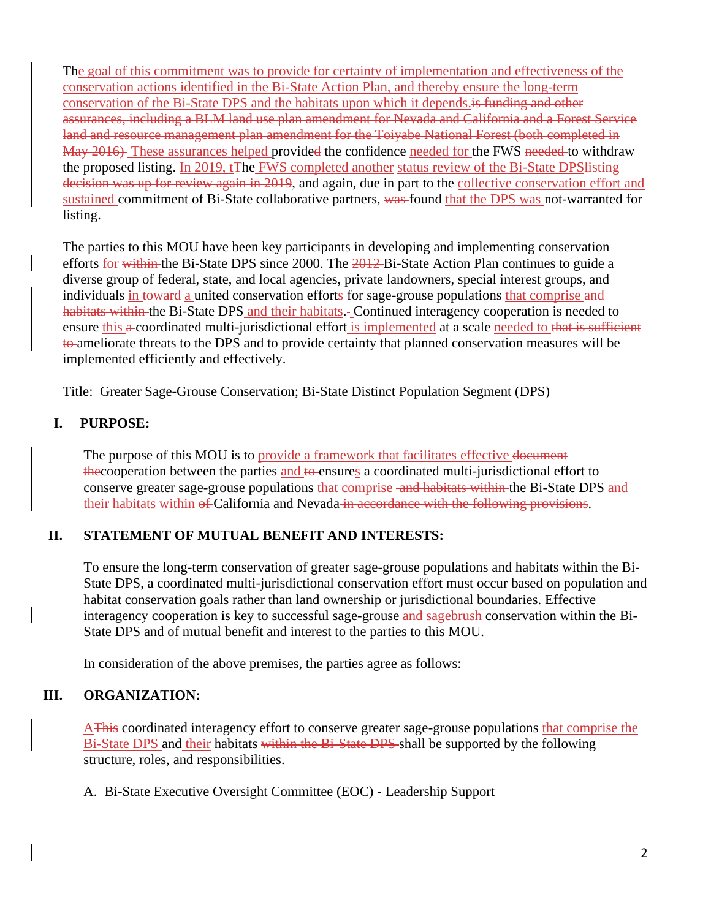The goal of this commitment was to provide for certainty of implementation and effectiveness of the conservation actions identified in the Bi-State Action Plan, and thereby ensure the long-term conservation of the Bi-State DPS and the habitats upon which it depends.is funding and other assurances, including a BLM land use plan amendment for Nevada and California and a Forest Service land and resource management plan amendment for the Toiyabe National Forest (both completed in May 2016) These assurances helped provided the confidence needed for the FWS needed to withdraw the proposed listing. In 2019, t<sub>The FWS</sub> completed another status review of the Bi-State DPS listing decision was up for review again in 2019, and again, due in part to the collective conservation effort and sustained commitment of Bi-State collaborative partners, was found that the DPS was not-warranted for listing.

The parties to this MOU have been key participants in developing and implementing conservation efforts for within the Bi-State DPS since 2000. The 2012-Bi-State Action Plan continues to guide a diverse group of federal, state, and local agencies, private landowners, special interest groups, and individuals in toward a united conservation efforts for sage-grouse populations that comprise and habitats within the Bi-State DPS and their habitats. Continued interagency cooperation is needed to ensure this a coordinated multi-jurisdictional effort is implemented at a scale needed to that is sufficient to ameliorate threats to the DPS and to provide certainty that planned conservation measures will be implemented efficiently and effectively.

Title: Greater Sage-Grouse Conservation; Bi-State Distinct Population Segment (DPS)

# **I. PURPOSE:**

The purpose of this MOU is to provide a framework that facilitates effective document the the cooperation between the parties and to ensures a coordinated multi-jurisdictional effort to conserve greater sage-grouse populations that comprise -and habitats within the Bi-State DPS and their habitats within of California and Nevada in accordance with the following provisions.

# **II. STATEMENT OF MUTUAL BENEFIT AND INTERESTS:**

To ensure the long-term conservation of greater sage-grouse populations and habitats within the Bi-State DPS, a coordinated multi-jurisdictional conservation effort must occur based on population and habitat conservation goals rather than land ownership or jurisdictional boundaries. Effective interagency cooperation is key to successful sage-grouse and sagebrush conservation within the Bi-State DPS and of mutual benefit and interest to the parties to this MOU.

In consideration of the above premises, the parties agree as follows:

# **III. ORGANIZATION:**

AThis coordinated interagency effort to conserve greater sage-grouse populations that comprise the Bi-State DPS and their habitats within the Bi-State DPS shall be supported by the following structure, roles, and responsibilities.

A. Bi-State Executive Oversight Committee (EOC) - Leadership Support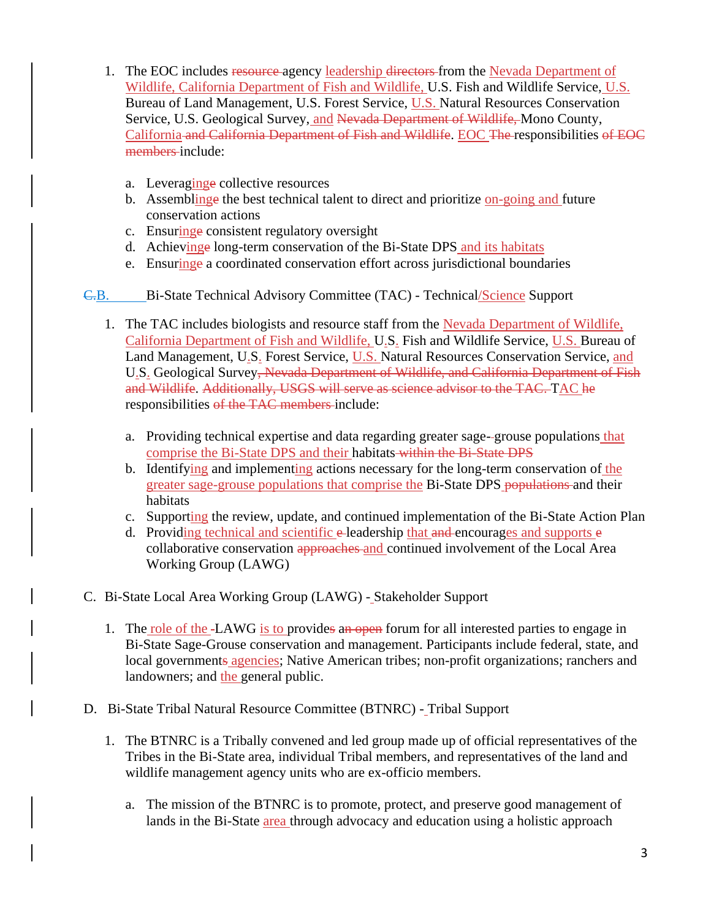- 1. The EOC includes resource agency leadership directors from the Nevada Department of Wildlife, California Department of Fish and Wildlife, U.S. Fish and Wildlife Service, U.S. Bureau of Land Management, U.S. Forest Service, U.S. Natural Resources Conservation Service, U.S. Geological Survey, and Nevada Department of Wildlife, Mono County, California and California Department of Fish and Wildlife. EOC The responsibilities of EOC members include:
	- a. Leveraginge collective resources
	- b. Assembling the best technical talent to direct and prioritize on-going and future conservation actions
	- c. Ensuringe consistent regulatory oversight
	- d. Achievinge long-term conservation of the Bi-State DPS and its habitats
	- e. Ensuringe a coordinated conservation effort across jurisdictional boundaries
- C.B. Bi-State Technical Advisory Committee (TAC) Technical/Science Support
	- 1. The TAC includes biologists and resource staff from the Nevada Department of Wildlife, California Department of Fish and Wildlife, U.S. Fish and Wildlife Service, U.S. Bureau of Land Management, U.S. Forest Service, U.S. Natural Resources Conservation Service, and U.S. Geological Survey, Nevada Department of Wildlife, and California Department of Fish and Wildlife. Additionally, USGS will serve as science advisor to the TAC. TAC he responsibilities of the TAC members include:
		- a. Providing technical expertise and data regarding greater sage- grouse populations that comprise the Bi-State DPS and their habitats within the Bi-State DPS
		- b. Identifying and implementing actions necessary for the long-term conservation of the greater sage-grouse populations that comprise the Bi-State DPS populations and their habitats
		- c. Supporting the review, update, and continued implementation of the Bi-State Action Plan
		- d. Providing technical and scientific  $e$ -leadership that and encourages and supports  $e$ collaborative conservation approaches and continued involvement of the Local Area Working Group (LAWG)
- C. Bi-State Local Area Working Group (LAWG) Stakeholder Support
	- 1. The role of the -LAWG is to provides an open forum for all interested parties to engage in Bi-State Sage-Grouse conservation and management. Participants include federal, state, and local governments agencies; Native American tribes; non-profit organizations; ranchers and landowners; and the general public.
- D. Bi-State Tribal Natural Resource Committee (BTNRC) Tribal Support
	- 1. The BTNRC is a Tribally convened and led group made up of official representatives of the Tribes in the Bi-State area, individual Tribal members, and representatives of the land and wildlife management agency units who are ex-officio members.
		- a. The mission of the BTNRC is to promote, protect, and preserve good management of lands in the Bi-State area through advocacy and education using a holistic approach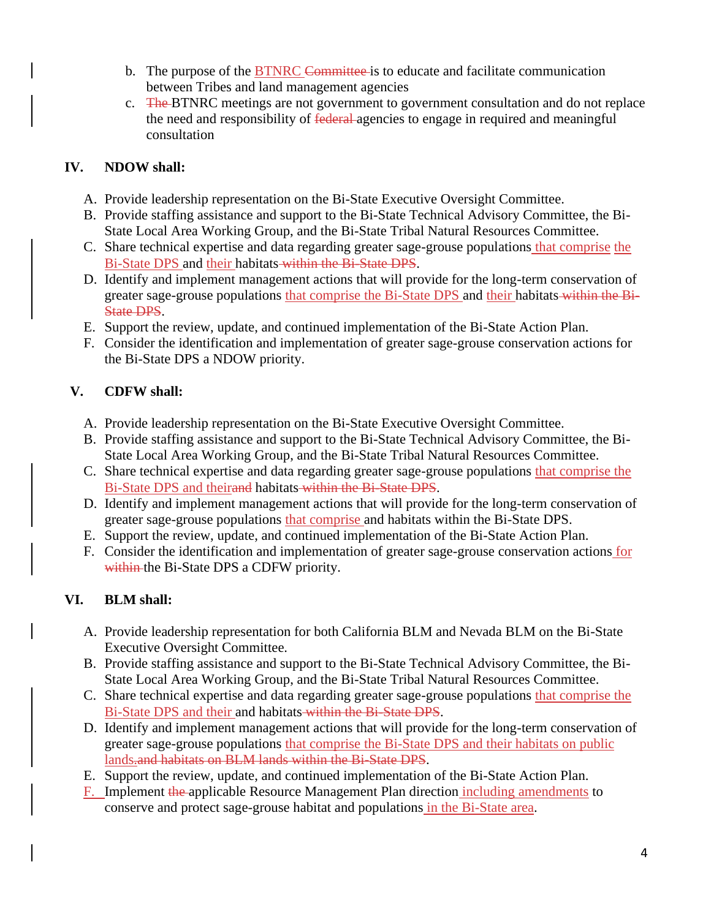- b. The purpose of the BTNRC Committee is to educate and facilitate communication between Tribes and land management agencies
- c. The BTNRC meetings are not government to government consultation and do not replace the need and responsibility of federal agencies to engage in required and meaningful consultation

# **IV. NDOW shall:**

- A. Provide leadership representation on the Bi-State Executive Oversight Committee.
- B. Provide staffing assistance and support to the Bi-State Technical Advisory Committee, the Bi-State Local Area Working Group, and the Bi-State Tribal Natural Resources Committee.
- C. Share technical expertise and data regarding greater sage-grouse populations that comprise the Bi-State DPS and their habitats within the Bi-State DPS.
- D. Identify and implement management actions that will provide for the long-term conservation of greater sage-grouse populations that comprise the Bi-State DPS and their habitats within the Bi-State DPS.
- E. Support the review, update, and continued implementation of the Bi-State Action Plan.
- F. Consider the identification and implementation of greater sage-grouse conservation actions for the Bi-State DPS a NDOW priority.

# **V. CDFW shall:**

- A. Provide leadership representation on the Bi-State Executive Oversight Committee.
- B. Provide staffing assistance and support to the Bi-State Technical Advisory Committee, the Bi-State Local Area Working Group, and the Bi-State Tribal Natural Resources Committee.
- C. Share technical expertise and data regarding greater sage-grouse populations that comprise the Bi-State DPS and theirand habitats within the Bi-State DPS.
- D. Identify and implement management actions that will provide for the long-term conservation of greater sage-grouse populations that comprise and habitats within the Bi-State DPS.
- E. Support the review, update, and continued implementation of the Bi-State Action Plan.
- F. Consider the identification and implementation of greater sage-grouse conservation actions for within the Bi-State DPS a CDFW priority.

# **VI. BLM shall:**

- A. Provide leadership representation for both California BLM and Nevada BLM on the Bi-State Executive Oversight Committee.
- B. Provide staffing assistance and support to the Bi-State Technical Advisory Committee, the Bi-State Local Area Working Group, and the Bi-State Tribal Natural Resources Committee.
- C. Share technical expertise and data regarding greater sage-grouse populations that comprise the Bi-State DPS and their and habitats within the Bi-State DPS.
- D. Identify and implement management actions that will provide for the long-term conservation of greater sage-grouse populations that comprise the Bi-State DPS and their habitats on public lands.and habitats on BLM lands within the Bi-State DPS.
- E. Support the review, update, and continued implementation of the Bi-State Action Plan.
- F. Implement the applicable Resource Management Plan direction including amendments to conserve and protect sage-grouse habitat and populations in the Bi-State area.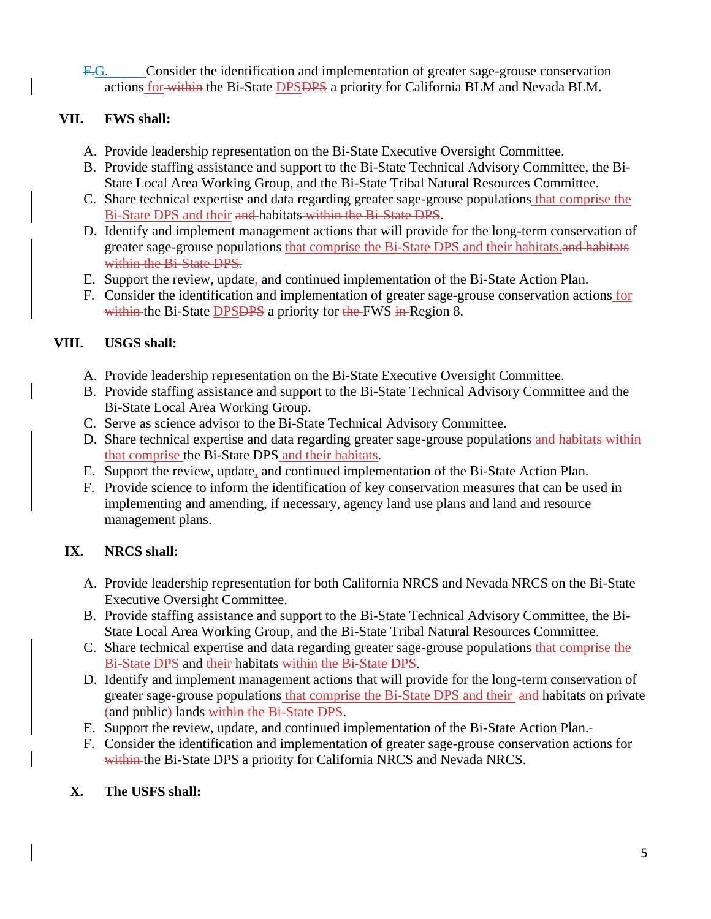F.G. Consider the identification and implementation of greater sage-grouse conservation actions for within the Bi-State DPSDPS a priority for California BLM and Nevada BLM.

# **VII. FWS shall:**

- A. Provide leadership representation on the Bi-State Executive Oversight Committee.
- B. Provide staffing assistance and support to the Bi-State Technical Advisory Committee, the Bi-State Local Area Working Group, and the Bi-State Tribal Natural Resources Committee.
- C. Share technical expertise and data regarding greater sage-grouse populations that comprise the Bi-State DPS and their and habitats within the Bi-State DPS.
- D. Identify and implement management actions that will provide for the long-term conservation of greater sage-grouse populations that comprise the Bi-State DPS and their habitats. and habitats within the Bi-State DPS.
- E. Support the review, update, and continued implementation of the Bi-State Action Plan.
- F. Consider the identification and implementation of greater sage-grouse conservation actions for within the Bi-State **DPSDPS** a priority for the FWS in Region 8.

# **VIII. USGS shall:**

- A. Provide leadership representation on the Bi-State Executive Oversight Committee.
- B. Provide staffing assistance and support to the Bi-State Technical Advisory Committee and the Bi-State Local Area Working Group.
- C. Serve as science advisor to the Bi-State Technical Advisory Committee.
- D. Share technical expertise and data regarding greater sage-grouse populations and habitats within that comprise the Bi-State DPS and their habitats.
- E. Support the review, update, and continued implementation of the Bi-State Action Plan.
- F. Provide science to inform the identification of key conservation measures that can be used in implementing and amending, if necessary, agency land use plans and land and resource management plans.

# **IX. NRCS shall:**

- A. Provide leadership representation for both California NRCS and Nevada NRCS on the Bi-State Executive Oversight Committee.
- B. Provide staffing assistance and support to the Bi-State Technical Advisory Committee, the Bi-State Local Area Working Group, and the Bi-State Tribal Natural Resources Committee.
- C. Share technical expertise and data regarding greater sage-grouse populations that comprise the Bi-State DPS and their habitats within the Bi-State DPS.
- D. Identify and implement management actions that will provide for the long-term conservation of greater sage-grouse populations that comprise the Bi-State DPS and their -and-habitats on private (and public) lands within the Bi-State DPS.
- E. Support the review, update, and continued implementation of the Bi-State Action Plan.
- F. Consider the identification and implementation of greater sage-grouse conservation actions for within the Bi-State DPS a priority for California NRCS and Nevada NRCS.

# **X. The USFS shall:**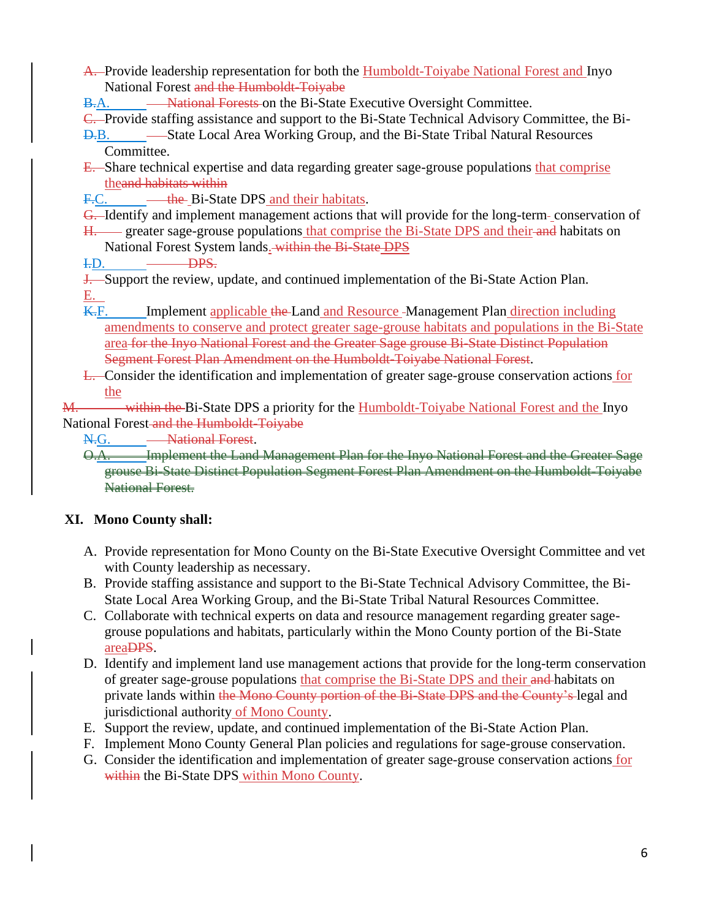- A. Provide leadership representation for both the Humboldt-Toiyabe National Forest and Inyo National Forest and the Humboldt-Toiyabe
- B.A. National Forests on the Bi-State Executive Oversight Committee.

C. Provide staffing assistance and support to the Bi-State Technical Advisory Committee, the Bi-

- D.B. State Local Area Working Group, and the Bi-State Tribal Natural Resources Committee.
- E. Share technical expertise and data regarding greater sage-grouse populations that comprise theand habitats within
- F.C. \_\_\_\_<del>the</del> Bi-State DPS and their habitats.
- G. Identify and implement management actions that will provide for the long-term-conservation of
- H. greater sage-grouse populations that comprise the Bi-State DPS and their and habitats on National Forest System lands. within the Bi-State DPS
- I.D. DPS.

**J.** Support the review, update, and continued implementation of the Bi-State Action Plan. E.

K.F. Implement applicable the Land and Resource Management Plan direction including amendments to conserve and protect greater sage-grouse habitats and populations in the Bi-State area for the Inyo National Forest and the Greater Sage grouse Bi-State Distinct Population Segment Forest Plan Amendment on the Humboldt-Toiyabe National Forest.

L. Consider the identification and implementation of greater sage-grouse conservation actions for the

M. within the Bi-State DPS a priority for the Humboldt-Toiyabe National Forest and the Inyo National Forest and the Humboldt-Toiyabe

N.G. - National Forest.

O.A. Implement the Land Management Plan for the Inyo National Forest and the Greater Sage grouse Bi-State Distinct Population Segment Forest Plan Amendment on the Humboldt-Toiyabe National Forest.

# **XI. Mono County shall:**

- A. Provide representation for Mono County on the Bi-State Executive Oversight Committee and vet with County leadership as necessary.
- B. Provide staffing assistance and support to the Bi-State Technical Advisory Committee, the Bi-State Local Area Working Group, and the Bi-State Tribal Natural Resources Committee.
- C. Collaborate with technical experts on data and resource management regarding greater sagegrouse populations and habitats, particularly within the Mono County portion of the Bi-State areaDPS.
- D. Identify and implement land use management actions that provide for the long-term conservation of greater sage-grouse populations that comprise the Bi-State DPS and their and habitats on private lands within the Mono County portion of the Bi-State DPS and the County's legal and jurisdictional authority of Mono County.
- E. Support the review, update, and continued implementation of the Bi-State Action Plan.
- F. Implement Mono County General Plan policies and regulations for sage-grouse conservation.
- G. Consider the identification and implementation of greater sage-grouse conservation actions for within the Bi-State DPS within Mono County.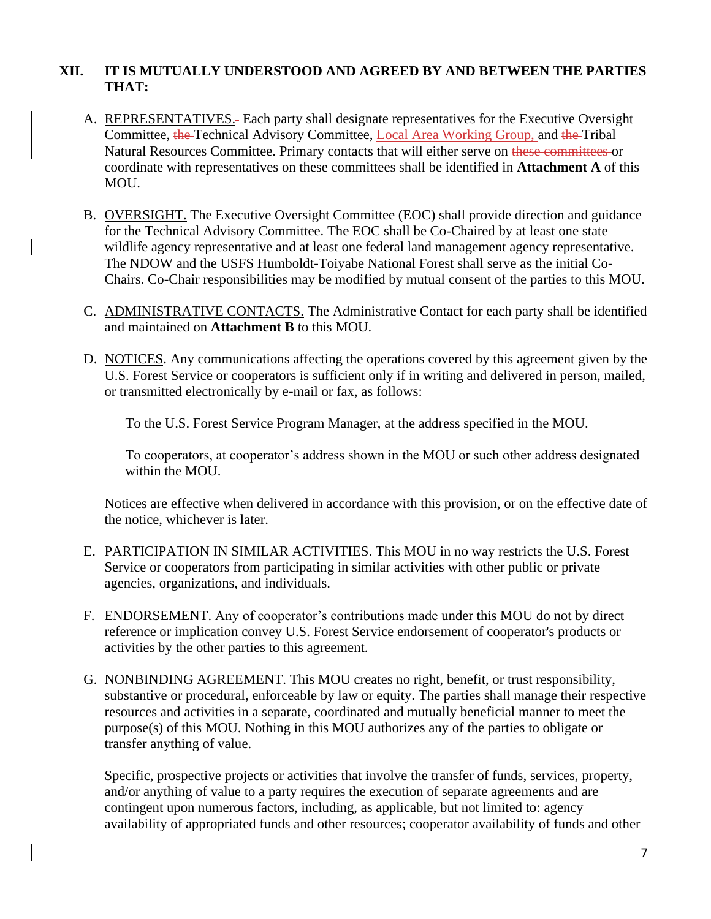# **XII. IT IS MUTUALLY UNDERSTOOD AND AGREED BY AND BETWEEN THE PARTIES THAT:**

- A. REPRESENTATIVES. Each party shall designate representatives for the Executive Oversight Committee, the Technical Advisory Committee, Local Area Working Group, and the Tribal Natural Resources Committee. Primary contacts that will either serve on these committees or coordinate with representatives on these committees shall be identified in **Attachment A** of this MOU.
- B. OVERSIGHT. The Executive Oversight Committee (EOC) shall provide direction and guidance for the Technical Advisory Committee. The EOC shall be Co-Chaired by at least one state wildlife agency representative and at least one federal land management agency representative. The NDOW and the USFS Humboldt-Toiyabe National Forest shall serve as the initial Co-Chairs. Co-Chair responsibilities may be modified by mutual consent of the parties to this MOU.
- C. ADMINISTRATIVE CONTACTS. The Administrative Contact for each party shall be identified and maintained on **Attachment B** to this MOU.
- D. NOTICES. Any communications affecting the operations covered by this agreement given by the U.S. Forest Service or cooperators is sufficient only if in writing and delivered in person, mailed, or transmitted electronically by e-mail or fax, as follows:

To the U.S. Forest Service Program Manager, at the address specified in the MOU.

To cooperators, at cooperator's address shown in the MOU or such other address designated within the MOU.

Notices are effective when delivered in accordance with this provision, or on the effective date of the notice, whichever is later.

- E. PARTICIPATION IN SIMILAR ACTIVITIES. This MOU in no way restricts the U.S. Forest Service or cooperators from participating in similar activities with other public or private agencies, organizations, and individuals.
- F. ENDORSEMENT. Any of cooperator's contributions made under this MOU do not by direct reference or implication convey U.S. Forest Service endorsement of cooperator's products or activities by the other parties to this agreement.
- G. NONBINDING AGREEMENT. This MOU creates no right, benefit, or trust responsibility, substantive or procedural, enforceable by law or equity. The parties shall manage their respective resources and activities in a separate, coordinated and mutually beneficial manner to meet the purpose(s) of this MOU. Nothing in this MOU authorizes any of the parties to obligate or transfer anything of value.

Specific, prospective projects or activities that involve the transfer of funds, services, property, and/or anything of value to a party requires the execution of separate agreements and are contingent upon numerous factors, including, as applicable, but not limited to: agency availability of appropriated funds and other resources; cooperator availability of funds and other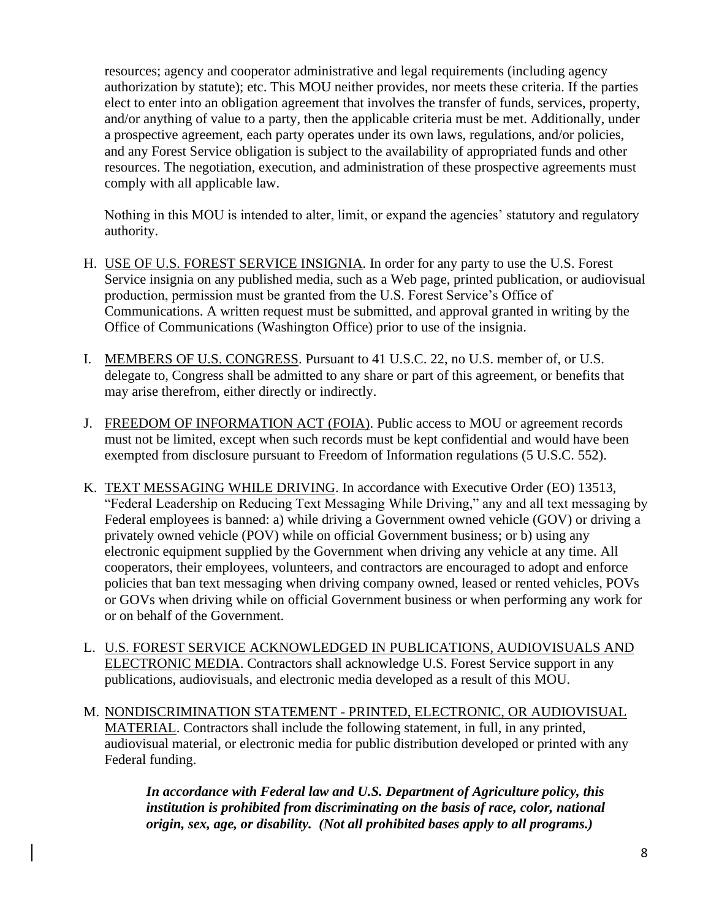resources; agency and cooperator administrative and legal requirements (including agency authorization by statute); etc. This MOU neither provides, nor meets these criteria. If the parties elect to enter into an obligation agreement that involves the transfer of funds, services, property, and/or anything of value to a party, then the applicable criteria must be met. Additionally, under a prospective agreement, each party operates under its own laws, regulations, and/or policies, and any Forest Service obligation is subject to the availability of appropriated funds and other resources. The negotiation, execution, and administration of these prospective agreements must comply with all applicable law.

Nothing in this MOU is intended to alter, limit, or expand the agencies' statutory and regulatory authority.

- H. USE OF U.S. FOREST SERVICE INSIGNIA. In order for any party to use the U.S. Forest Service insignia on any published media, such as a Web page, printed publication, or audiovisual production, permission must be granted from the U.S. Forest Service's Office of Communications. A written request must be submitted, and approval granted in writing by the Office of Communications (Washington Office) prior to use of the insignia.
- I. MEMBERS OF U.S. CONGRESS. Pursuant to 41 U.S.C. 22, no U.S. member of, or U.S. delegate to, Congress shall be admitted to any share or part of this agreement, or benefits that may arise therefrom, either directly or indirectly.
- J. FREEDOM OF INFORMATION ACT (FOIA). Public access to MOU or agreement records must not be limited, except when such records must be kept confidential and would have been exempted from disclosure pursuant to Freedom of Information regulations (5 U.S.C. 552).
- K. TEXT MESSAGING WHILE DRIVING. In accordance with Executive Order (EO) 13513, "Federal Leadership on Reducing Text Messaging While Driving," any and all text messaging by Federal employees is banned: a) while driving a Government owned vehicle (GOV) or driving a privately owned vehicle (POV) while on official Government business; or b) using any electronic equipment supplied by the Government when driving any vehicle at any time. All cooperators, their employees, volunteers, and contractors are encouraged to adopt and enforce policies that ban text messaging when driving company owned, leased or rented vehicles, POVs or GOVs when driving while on official Government business or when performing any work for or on behalf of the Government.
- L. U.S. FOREST SERVICE ACKNOWLEDGED IN PUBLICATIONS, AUDIOVISUALS AND ELECTRONIC MEDIA. Contractors shall acknowledge U.S. Forest Service support in any publications, audiovisuals, and electronic media developed as a result of this MOU.
- M. NONDISCRIMINATION STATEMENT PRINTED, ELECTRONIC, OR AUDIOVISUAL MATERIAL. Contractors shall include the following statement, in full, in any printed, audiovisual material, or electronic media for public distribution developed or printed with any Federal funding.

*In accordance with Federal law and U.S. Department of Agriculture policy, this institution is prohibited from discriminating on the basis of race, color, national origin, sex, age, or disability. (Not all prohibited bases apply to all programs.)*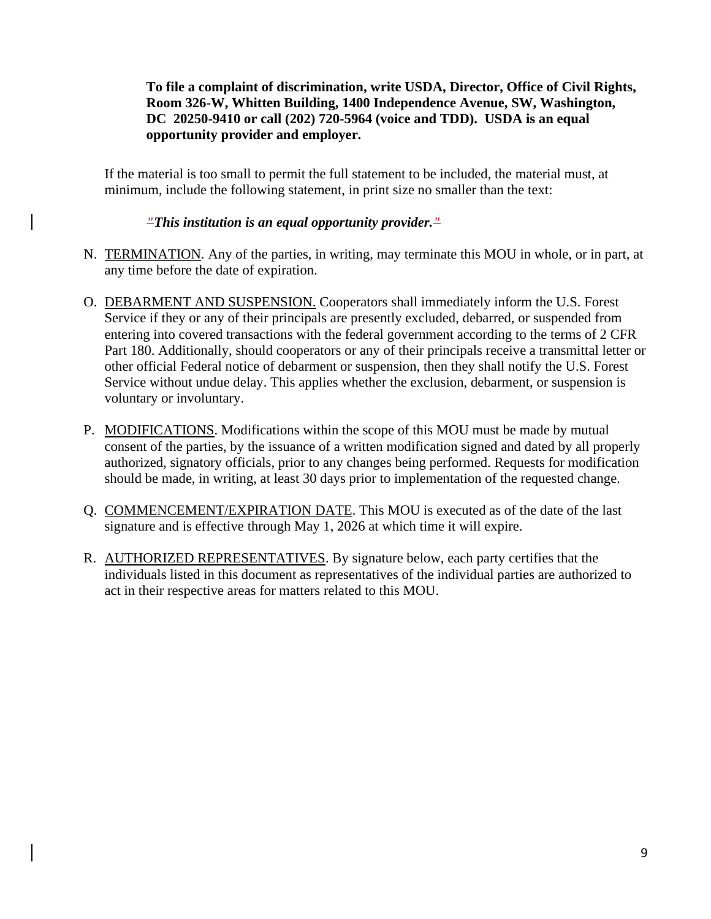**To file a complaint of discrimination, write USDA, Director, Office of Civil Rights, Room 326-W, Whitten Building, 1400 Independence Avenue, SW, Washington, DC 20250-9410 or call (202) 720-5964 (voice and TDD). USDA is an equal opportunity provider and employer.**

If the material is too small to permit the full statement to be included, the material must, at minimum, include the following statement, in print size no smaller than the text:

*"This institution is an equal opportunity provider."*

- N. TERMINATION. Any of the parties, in writing, may terminate this MOU in whole, or in part, at any time before the date of expiration.
- O. DEBARMENT AND SUSPENSION. Cooperators shall immediately inform the U.S. Forest Service if they or any of their principals are presently excluded, debarred, or suspended from entering into covered transactions with the federal government according to the terms of 2 CFR Part 180. Additionally, should cooperators or any of their principals receive a transmittal letter or other official Federal notice of debarment or suspension, then they shall notify the U.S. Forest Service without undue delay. This applies whether the exclusion, debarment, or suspension is voluntary or involuntary.
- P. MODIFICATIONS. Modifications within the scope of this MOU must be made by mutual consent of the parties, by the issuance of a written modification signed and dated by all properly authorized, signatory officials, prior to any changes being performed. Requests for modification should be made, in writing, at least 30 days prior to implementation of the requested change.
- Q. COMMENCEMENT/EXPIRATION DATE. This MOU is executed as of the date of the last signature and is effective through May 1, 2026 at which time it will expire.
- R. AUTHORIZED REPRESENTATIVES. By signature below, each party certifies that the individuals listed in this document as representatives of the individual parties are authorized to act in their respective areas for matters related to this MOU.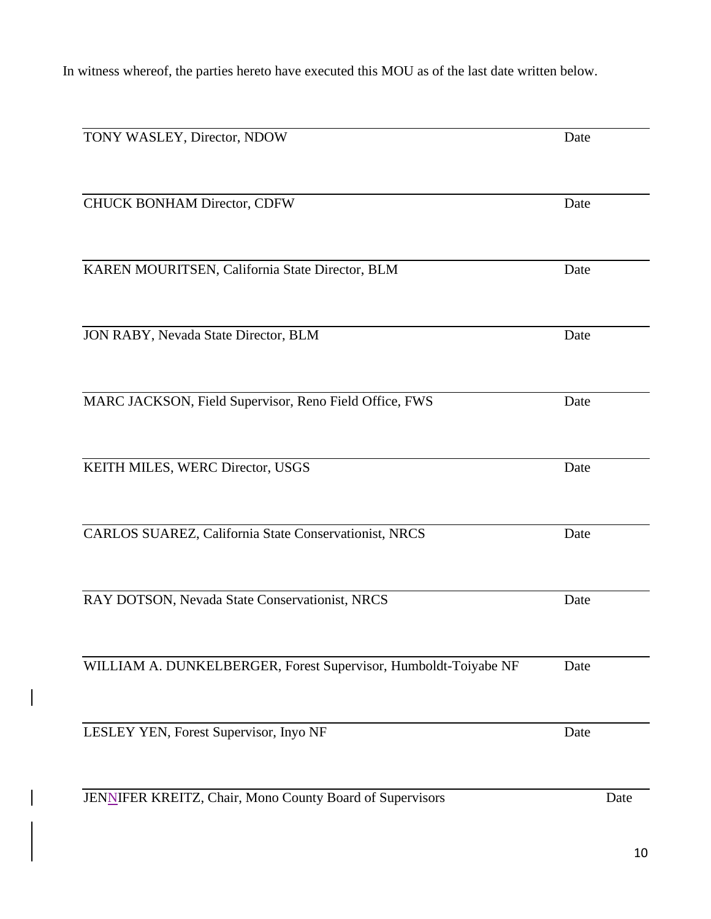In witness whereof, the parties hereto have executed this MOU as of the last date written below.

| TONY WASLEY, Director, NDOW                                     | Date |  |
|-----------------------------------------------------------------|------|--|
| CHUCK BONHAM Director, CDFW                                     | Date |  |
|                                                                 |      |  |
| KAREN MOURITSEN, California State Director, BLM                 | Date |  |
| JON RABY, Nevada State Director, BLM                            | Date |  |
| MARC JACKSON, Field Supervisor, Reno Field Office, FWS          | Date |  |
| KEITH MILES, WERC Director, USGS                                | Date |  |
| CARLOS SUAREZ, California State Conservationist, NRCS           | Date |  |
| RAY DOTSON, Nevada State Conservationist, NRCS                  | Date |  |
| WILLIAM A. DUNKELBERGER, Forest Supervisor, Humboldt-Toiyabe NF | Date |  |
| LESLEY YEN, Forest Supervisor, Inyo NF                          | Date |  |
| JENNIFER KREITZ, Chair, Mono County Board of Supervisors        | Date |  |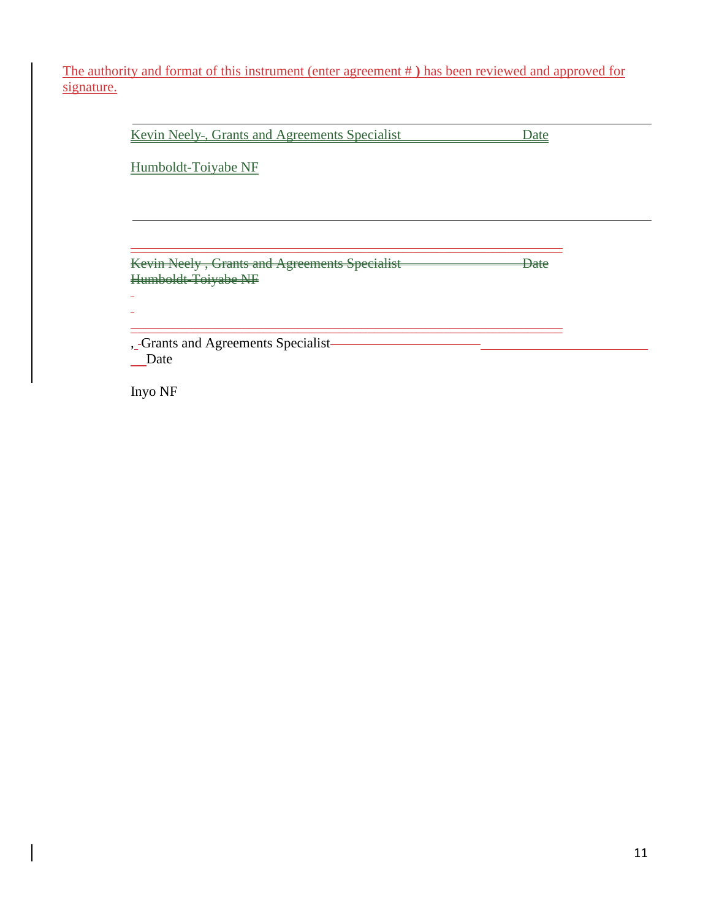The authority and format of this instrument (enter agreement # **)** has been reviewed and approved for signature.

Kevin Neely-, Grants and Agreements Specialist Date

Humboldt-Toiyabe NF

Kevin Neely, Grants and Agreements Specialist **Date** Humboldt-Toiyabe NF

 $\mathcal{L}_\text{max}$  , and the contribution of the contribution of the contribution of the contribution of the contribution of the contribution of the contribution of the contribution of the contribution of the contribution of t

 $\mathcal{L}_\text{max}$  , and the contribution of the contribution of the contribution of the contribution of the contribution of the contribution of the contribution of the contribution of the contribution of the contribution of t

, -Grants and Agreements Specialist-\_Date

Inyo NF

 $\mathbf{r}$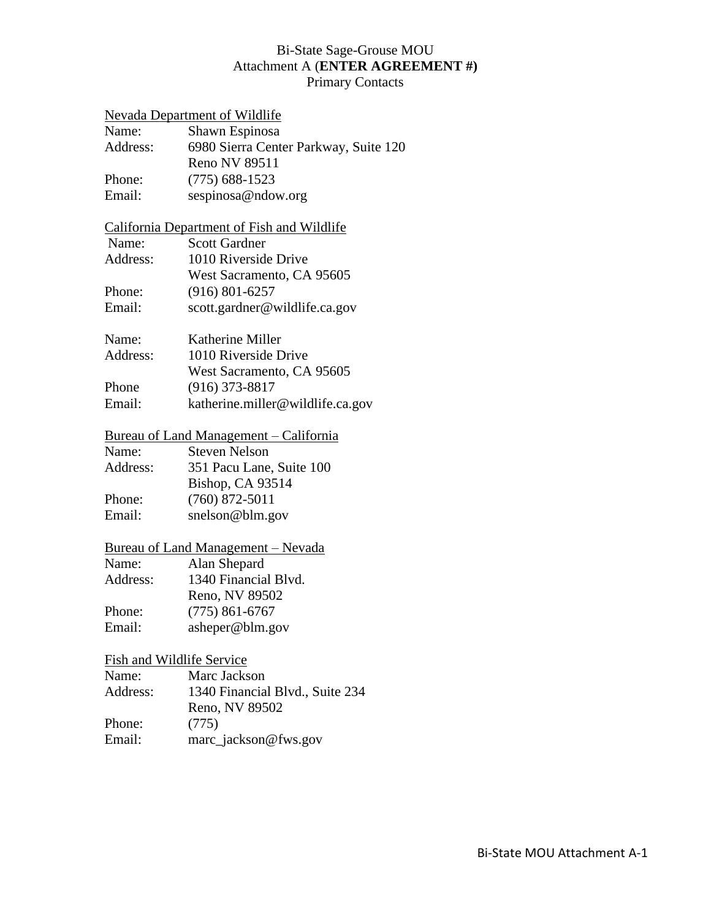# Bi-State Sage-Grouse MOU Attachment A (**ENTER AGREEMENT #)** Primary Contacts

|          | Nevada Department of Wildlife              |
|----------|--------------------------------------------|
| Name:    | Shawn Espinosa                             |
| Address: | 6980 Sierra Center Parkway, Suite 120      |
|          | Reno NV 89511                              |
| Phone:   | $(775)$ 688-1523                           |
| Email:   | sespinosa@ndow.org                         |
|          | California Department of Fish and Wildlife |
| Name:    | <b>Scott Gardner</b>                       |
| Address: | 1010 Riverside Drive                       |
|          | West Sacramento, CA 95605                  |
| Phone:   | $(916) 801 - 6257$                         |
| Email:   | scott.gardner@wildlife.ca.gov              |
| Name:    | Katherine Miller                           |
| Address: | 1010 Riverside Drive                       |
|          | West Sacramento, CA 95605                  |
| Phone    | $(916)$ 373-8817                           |
| Email:   | katherine.miller@wildlife.ca.gov           |
|          | Bureau of Land Management – California     |
| Name:    | <b>Steven Nelson</b>                       |
| Address: | 351 Pacu Lane, Suite 100                   |
|          | Bishop, CA 93514                           |
| Phone:   | $(760)$ 872-5011                           |
| Email:   | snelson@blm.gov                            |
|          | <b>Bureau of Land Management – Nevada</b>  |
| Name:    | Alan Shepard                               |
| Address: | 1340 Financial Blvd.                       |
|          | Reno, NV 89502                             |
| Phone:   | $(775) 861 - 6767$                         |
| Email:   | asheper@blm.gov                            |
|          | Fish and Wildlife Service                  |
| Name:    | Marc Jackson                               |
| Address: | 1340 Financial Blvd., Suite 234            |
|          | Reno, NV 89502                             |

Phone: (775)<br>Email: marc\_j

marc\_jackson@fws.gov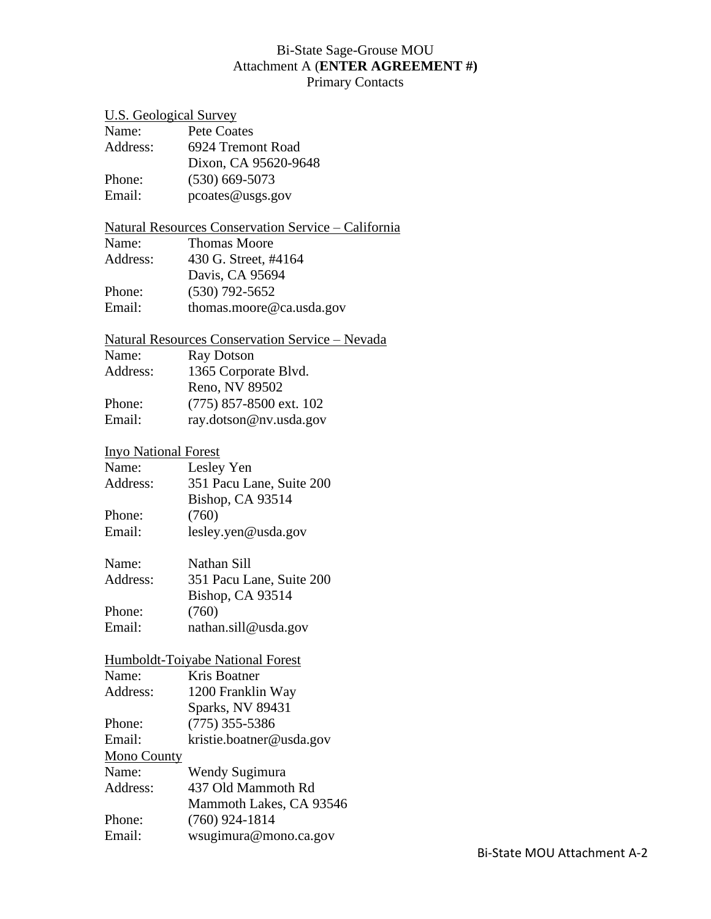# Bi-State Sage-Grouse MOU Attachment A (**ENTER AGREEMENT #)**

Primary Contacts

| <b>U.S. Geological Survey</b> |                                                             |
|-------------------------------|-------------------------------------------------------------|
| Name:                         | <b>Pete Coates</b>                                          |
| Address:                      | 6924 Tremont Road                                           |
|                               | Dixon, CA 95620-9648                                        |
| Phone:                        | $(530)$ 669-5073                                            |
| Email:                        | pcoates@usgs.gov                                            |
|                               | <u> Natural Resources Conservation Service – California</u> |
| Name:                         | <b>Thomas Moore</b>                                         |
| Address:                      | 430 G. Street, #4164                                        |
|                               | Davis, CA 95694                                             |
| Phone:                        | $(530)$ 792-5652                                            |
| Email:                        | thomas.moore@ca.usda.gov                                    |
|                               | <b>Natural Resources Conservation Service – Nevada</b>      |
| Name:                         | <b>Ray Dotson</b>                                           |
| Address:                      | 1365 Corporate Blvd.                                        |
|                               | Reno, NV 89502                                              |
| Phone:                        | $(775)$ 857-8500 ext. 102                                   |
| Email:                        | ray.dotson@nv.usda.gov                                      |
|                               |                                                             |
| <b>Inyo National Forest</b>   |                                                             |
| Name:                         | Lesley Yen                                                  |
| Address:                      | 351 Pacu Lane, Suite 200                                    |
|                               | Bishop, CA 93514                                            |
| Phone:                        | (760)                                                       |
| Email:                        | lesley.yen@usda.gov                                         |
| Name:                         | Nathan Sill                                                 |
| Address:                      | 351 Pacu Lane, Suite 200                                    |
|                               | <b>Bishop, CA 93514</b>                                     |
| Phone:                        | (760)                                                       |
| Email:                        | nathan.sill@usda.gov                                        |
|                               | Humboldt-Toiyabe National Forest                            |
| Name:                         | Kris Boatner                                                |
| Address:                      | 1200 Franklin Way                                           |
|                               | Sparks, NV 89431                                            |
| Phone:                        | $(775)$ 355-5386                                            |
| Email:                        | kristie.boatner@usda.gov                                    |
| Mono County                   |                                                             |
| Name:                         | Wendy Sugimura                                              |
| Address:                      | 437 Old Mammoth Rd                                          |
|                               | Mammoth Lakes, CA 93546                                     |
| Phone:                        | $(760)$ 924-1814                                            |
| Email:                        | wsugimura@mono.ca.gov                                       |
|                               |                                                             |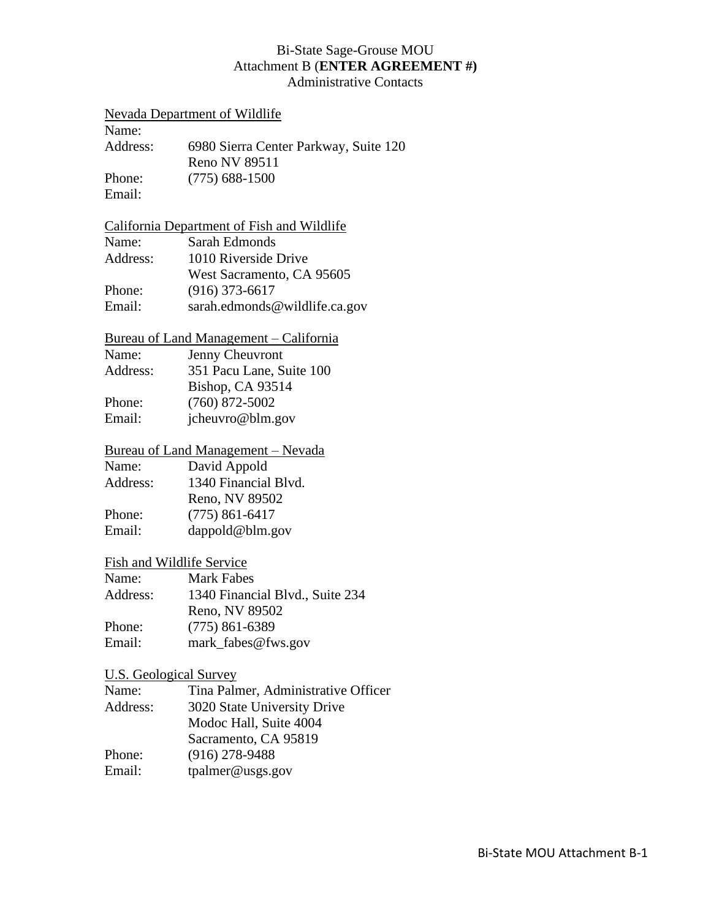### Bi-State Sage-Grouse MOU Attachment B (**ENTER AGREEMENT #)** Administrative Contacts

#### Nevada Department of Wildlife

Name: Address: 6980 Sierra Center Parkway, Suite 120 Reno NV 89511 Phone: (775) 688-1500 Email:

### California Department of Fish and Wildlife

| Name:    | Sarah Edmonds                 |
|----------|-------------------------------|
| Address: | 1010 Riverside Drive          |
|          | West Sacramento, CA 95605     |
| Phone:   | $(916)$ 373-6617              |
| Email:   | sarah.edmonds@wildlife.ca.gov |

### Bureau of Land Management – California

| Name:    | Jenny Cheuvront          |
|----------|--------------------------|
| Address: | 351 Pacu Lane, Suite 100 |
|          | <b>Bishop, CA 93514</b>  |
| Phone:   | $(760)$ 872-5002         |
| Email:   | jcheuvro@blm.gov         |
|          |                          |

# Bureau of Land Management – Nevada<br>Name: David Appold

David Appold Address: 1340 Financial Blvd. Reno, NV 89502 Phone: (775) 861-6417 Email: dappold@blm.gov

### Fish and Wildlife Service

| Name:    | <b>Mark Fabes</b>               |
|----------|---------------------------------|
| Address: | 1340 Financial Blvd., Suite 234 |
|          | Reno, NV 89502                  |
| Phone:   | $(775)$ 861-6389                |
| Email:   | mark_fabes@fws.gov              |

### U.S. Geological Survey

| Tina Palmer, Administrative Officer |
|-------------------------------------|
| 3020 State University Drive         |
| Modoc Hall, Suite 4004              |
| Sacramento, CA 95819                |
| $(916)$ 278-9488                    |
| tpalmer@uss.gov                     |
|                                     |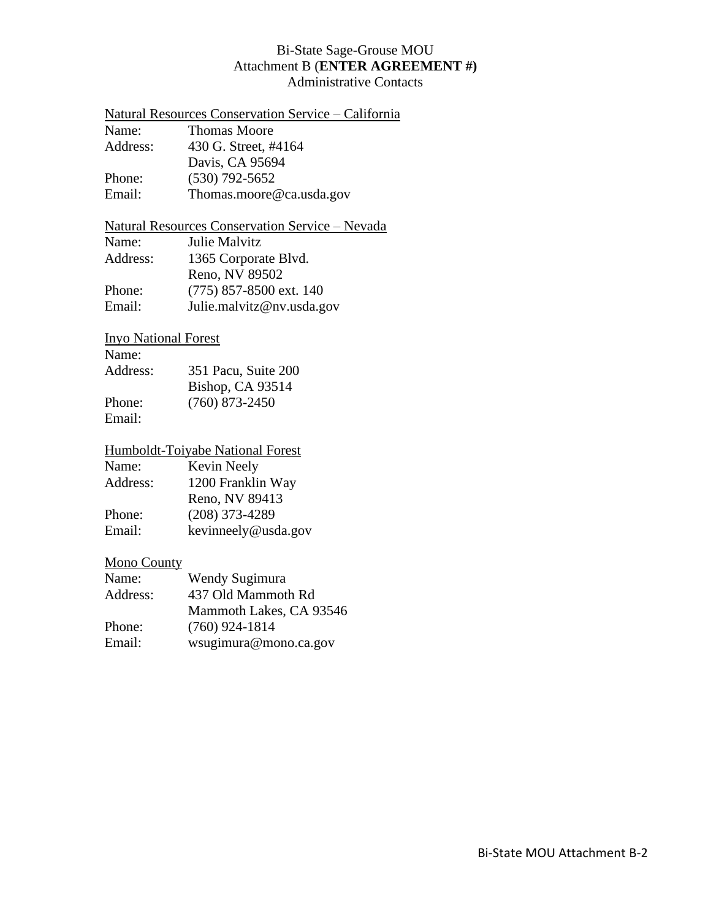### Bi-State Sage-Grouse MOU Attachment B (**ENTER AGREEMENT #)** Administrative Contacts

|          | Natural Resources Conservation Service – California |
|----------|-----------------------------------------------------|
| Name:    | <b>Thomas Moore</b>                                 |
| Address: | 430 G. Street, #4164                                |
|          | Davis, CA 95694                                     |
| Phone:   | $(530)$ 792-5652                                    |
| Email:   | Thomas.moore@ca.usda.gov                            |
|          |                                                     |

# Natural Resources Conservation Service – Nevada

| Julie Malvitz             |
|---------------------------|
| 1365 Corporate Blvd.      |
| Reno, NV 89502            |
| $(775)$ 857-8500 ext. 140 |
| Julie.malvitz@nv.usda.gov |
|                           |

# Inyo National Forest

| Name:    |                     |
|----------|---------------------|
| Address: | 351 Pacu, Suite 200 |
|          | Bishop, CA 93514    |
| Phone:   | $(760)$ 873-2450    |
| Email:   |                     |

### Humboldt-Toiyabe National Forest

| Name:    | Kevin Neely         |
|----------|---------------------|
| Address: | 1200 Franklin Way   |
|          | Reno, NV 89413      |
| Phone:   | $(208)$ 373-4289    |
| Email:   | kevinneely@usda.gov |

# Mono County

| Name:    | Wendy Sugimura          |
|----------|-------------------------|
| Address: | 437 Old Mammoth Rd      |
|          | Mammoth Lakes, CA 93546 |
| Phone:   | $(760)$ 924-1814        |
| Email:   | wsugimura@mono.ca.gov   |